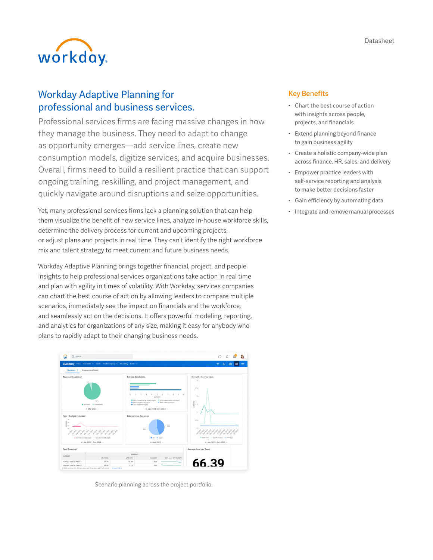

# Workday Adaptive Planning for professional and business services.

Professional services firms are facing massive changes in how they manage the business. They need to adapt to change as opportunity emerges—add service lines, create new consumption models, digitize services, and acquire businesses. Overall, firms need to build a resilient practice that can support ongoing training, reskilling, and project management, and quickly navigate around disruptions and seize opportunities.

Yet, many professional services firms lack a planning solution that can help them visualize the benefit of new service lines, analyze in-house workforce skills, determine the delivery process for current and upcoming projects, or adjust plans and projects in real time. They can't identify the right workforce mix and talent strategy to meet current and future business needs.

Workday Adaptive Planning brings together financial, project, and people insights to help professional services organizations take action in real time and plan with agility in times of volatility. With Workday, services companies can chart the best course of action by allowing leaders to compare multiple scenarios, immediately see the impact on financials and the workforce, and seamlessly act on the decisions. It offers powerful modeling, reporting, and analytics for organizations of any size, making it easy for anybody who plans to rapidly adapt to their changing business needs.



Scenario planning across the project portfolio.

## Key Benefits

- Chart the best course of action with insights across people, projects, and financials
- Extend planning beyond finance to gain business agility
- Create a holistic company-wide plan across finance, HR, sales, and delivery
- Empower practice leaders with self-service reporting and analysis to make better decisions faster
- Gain efficiency by automating data
- Integrate and remove manual processes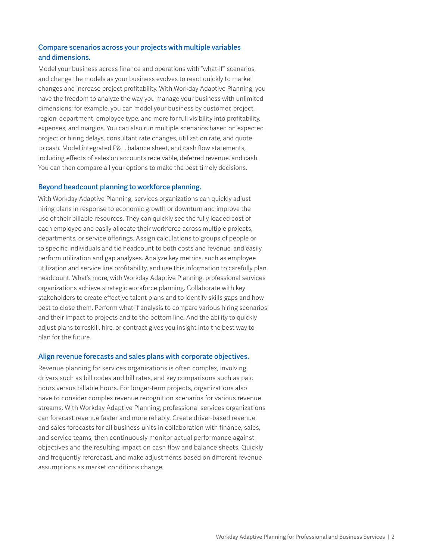# Compare scenarios across your projects with multiple variables and dimensions.

Model your business across finance and operations with "what-if" scenarios, and change the models as your business evolves to react quickly to market changes and increase project profitability. With Workday Adaptive Planning, you have the freedom to analyze the way you manage your business with unlimited dimensions; for example, you can model your business by customer, project, region, department, employee type, and more for full visibility into profitability, expenses, and margins. You can also run multiple scenarios based on expected project or hiring delays, consultant rate changes, utilization rate, and quote to cash. Model integrated P&L, balance sheet, and cash flow statements, including effects of sales on accounts receivable, deferred revenue, and cash. You can then compare all your options to make the best timely decisions.

#### Beyond headcount planning to workforce planning.

With Workday Adaptive Planning, services organizations can quickly adjust hiring plans in response to economic growth or downturn and improve the use of their billable resources. They can quickly see the fully loaded cost of each employee and easily allocate their workforce across multiple projects, departments, or service offerings. Assign calculations to groups of people or to specific individuals and tie headcount to both costs and revenue, and easily perform utilization and gap analyses. Analyze key metrics, such as employee utilization and service line profitability, and use this information to carefully plan headcount. What's more, with Workday Adaptive Planning, professional services organizations achieve strategic workforce planning. Collaborate with key stakeholders to create effective talent plans and to identify skills gaps and how best to close them. Perform what-if analysis to compare various hiring scenarios and their impact to projects and to the bottom line. And the ability to quickly adjust plans to reskill, hire, or contract gives you insight into the best way to plan for the future.

#### Align revenue forecasts and sales plans with corporate objectives.

Revenue planning for services organizations is often complex, involving drivers such as bill codes and bill rates, and key comparisons such as paid hours versus billable hours. For longer-term projects, organizations also have to consider complex revenue recognition scenarios for various revenue streams. With Workday Adaptive Planning, professional services organizations can forecast revenue faster and more reliably. Create driver-based revenue and sales forecasts for all business units in collaboration with finance, sales, and service teams, then continuously monitor actual performance against objectives and the resulting impact on cash flow and balance sheets. Quickly and frequently reforecast, and make adjustments based on different revenue assumptions as market conditions change.